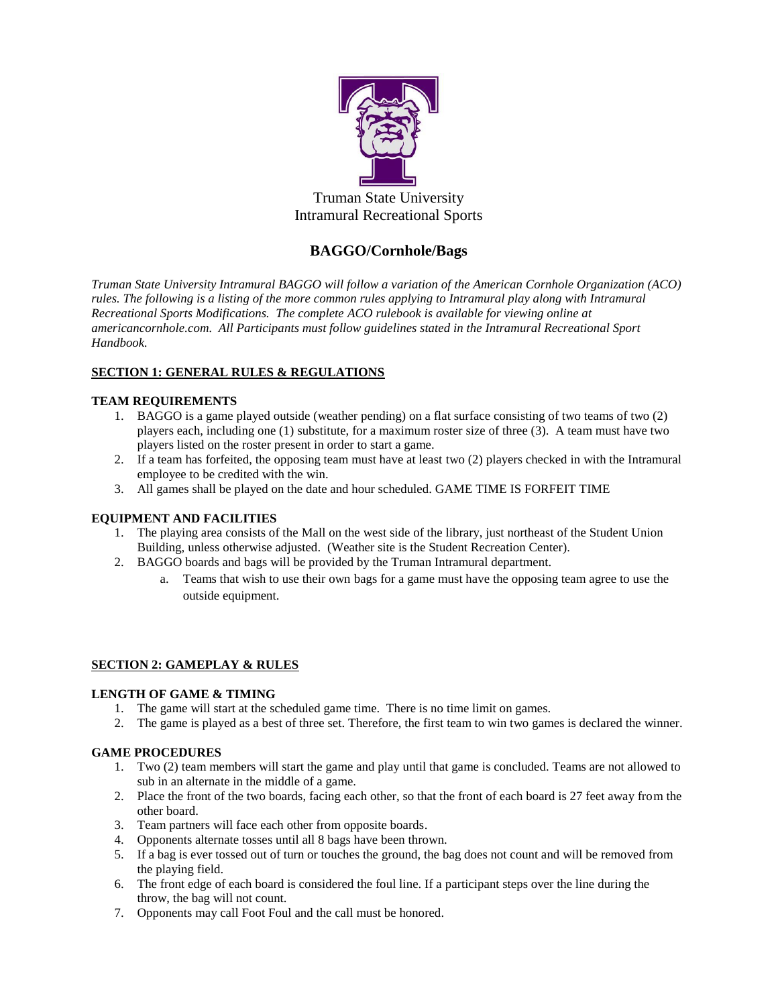

Truman State University Intramural Recreational Sports

# **BAGGO/Cornhole/Bags**

*Truman State University Intramural BAGGO will follow a variation of the American Cornhole Organization (ACO) rules. The following is a listing of the more common rules applying to Intramural play along with Intramural Recreational Sports Modifications. The complete ACO rulebook is available for viewing online at americancornhole.com. All Participants must follow guidelines stated in the Intramural Recreational Sport Handbook.*

# **SECTION 1: GENERAL RULES & REGULATIONS**

## **TEAM REQUIREMENTS**

- 1. BAGGO is a game played outside (weather pending) on a flat surface consisting of two teams of two (2) players each, including one (1) substitute, for a maximum roster size of three (3). A team must have two players listed on the roster present in order to start a game.
- 2. If a team has forfeited, the opposing team must have at least two (2) players checked in with the Intramural employee to be credited with the win.
- 3. All games shall be played on the date and hour scheduled. GAME TIME IS FORFEIT TIME

## **EQUIPMENT AND FACILITIES**

- 1. The playing area consists of the Mall on the west side of the library, just northeast of the Student Union Building, unless otherwise adjusted. (Weather site is the Student Recreation Center).
- 2. BAGGO boards and bags will be provided by the Truman Intramural department.
	- a. Teams that wish to use their own bags for a game must have the opposing team agree to use the outside equipment.

## **SECTION 2: GAMEPLAY & RULES**

## **LENGTH OF GAME & TIMING**

- 1. The game will start at the scheduled game time. There is no time limit on games.
- 2. The game is played as a best of three set. Therefore, the first team to win two games is declared the winner.

## **GAME PROCEDURES**

- 1. Two (2) team members will start the game and play until that game is concluded. Teams are not allowed to sub in an alternate in the middle of a game.
- 2. Place the front of the two boards, facing each other, so that the front of each board is 27 feet away from the other board.
- 3. Team partners will face each other from opposite boards.
- 4. Opponents alternate tosses until all 8 bags have been thrown.
- 5. If a bag is ever tossed out of turn or touches the ground, the bag does not count and will be removed from the playing field.
- 6. The front edge of each board is considered the foul line. If a participant steps over the line during the throw, the bag will not count.
- 7. Opponents may call Foot Foul and the call must be honored.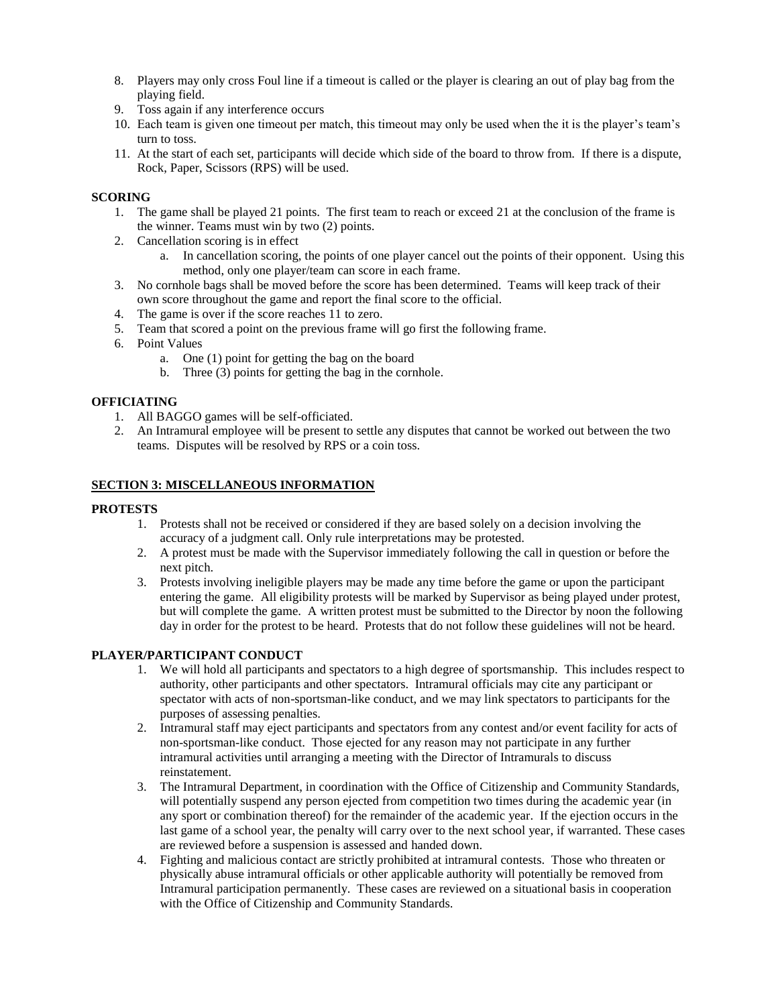- 8. Players may only cross Foul line if a timeout is called or the player is clearing an out of play bag from the playing field.
- 9. Toss again if any interference occurs
- 10. Each team is given one timeout per match, this timeout may only be used when the it is the player's team's turn to toss.
- 11. At the start of each set, participants will decide which side of the board to throw from. If there is a dispute, Rock, Paper, Scissors (RPS) will be used.

## **SCORING**

- 1. The game shall be played 21 points. The first team to reach or exceed 21 at the conclusion of the frame is the winner. Teams must win by two (2) points.
- 2. Cancellation scoring is in effect
	- a. In cancellation scoring, the points of one player cancel out the points of their opponent. Using this method, only one player/team can score in each frame.
- 3. No cornhole bags shall be moved before the score has been determined. Teams will keep track of their own score throughout the game and report the final score to the official.
- 4. The game is over if the score reaches 11 to zero.
- 5. Team that scored a point on the previous frame will go first the following frame.
- 6. Point Values
	- a. One (1) point for getting the bag on the board
	- b. Three (3) points for getting the bag in the cornhole.

## **OFFICIATING**

- 1. All BAGGO games will be self-officiated.
- 2. An Intramural employee will be present to settle any disputes that cannot be worked out between the two teams. Disputes will be resolved by RPS or a coin toss.

## **SECTION 3: MISCELLANEOUS INFORMATION**

## **PROTESTS**

- 1. Protests shall not be received or considered if they are based solely on a decision involving the accuracy of a judgment call. Only rule interpretations may be protested.
- 2. A protest must be made with the Supervisor immediately following the call in question or before the next pitch.
- 3. Protests involving ineligible players may be made any time before the game or upon the participant entering the game. All eligibility protests will be marked by Supervisor as being played under protest, but will complete the game. A written protest must be submitted to the Director by noon the following day in order for the protest to be heard. Protests that do not follow these guidelines will not be heard.

## **PLAYER/PARTICIPANT CONDUCT**

- 1. We will hold all participants and spectators to a high degree of sportsmanship. This includes respect to authority, other participants and other spectators. Intramural officials may cite any participant or spectator with acts of non-sportsman-like conduct, and we may link spectators to participants for the purposes of assessing penalties.
- 2. Intramural staff may eject participants and spectators from any contest and/or event facility for acts of non-sportsman-like conduct. Those ejected for any reason may not participate in any further intramural activities until arranging a meeting with the Director of Intramurals to discuss reinstatement.
- 3. The Intramural Department, in coordination with the Office of Citizenship and Community Standards, will potentially suspend any person ejected from competition two times during the academic year (in any sport or combination thereof) for the remainder of the academic year. If the ejection occurs in the last game of a school year, the penalty will carry over to the next school year, if warranted. These cases are reviewed before a suspension is assessed and handed down.
- 4. Fighting and malicious contact are strictly prohibited at intramural contests. Those who threaten or physically abuse intramural officials or other applicable authority will potentially be removed from Intramural participation permanently. These cases are reviewed on a situational basis in cooperation with the Office of Citizenship and Community Standards.